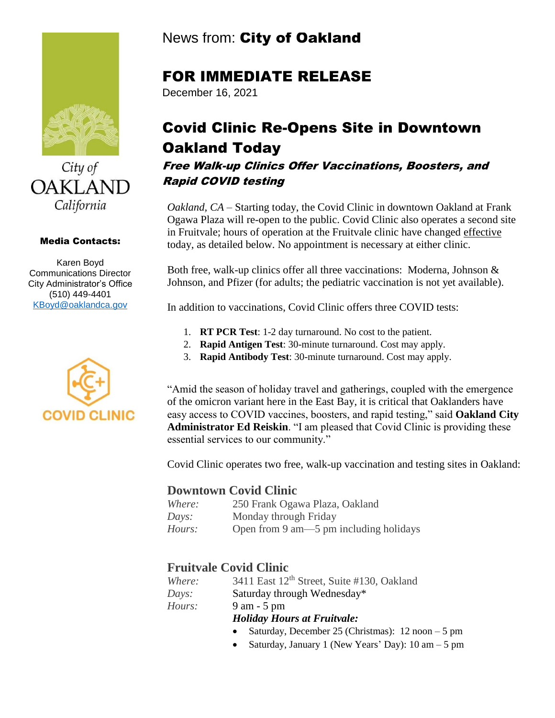



#### Media Contacts:

Karen Boyd Communications Director City Administrator's Office (510) 449-4401 [KBoyd@oaklandca.gov](mailto:KBoyd@oaklandca.gov)



## News from: City of Oakland

### FOR IMMEDIATE RELEASE

December 16, 2021

# Covid Clinic Re-Opens Site in Downtown Oakland Today

Free Walk-up Clinics Offer Vaccinations, Boosters, and Rapid COVID testing

*Oakland, CA* – Starting today, the Covid Clinic in downtown Oakland at Frank Ogawa Plaza will re-open to the public. Covid Clinic also operates a second site in Fruitvale; hours of operation at the Fruitvale clinic have changed effective today, as detailed below. No appointment is necessary at either clinic.

Both free, walk-up clinics offer all three vaccinations: Moderna, Johnson & Johnson, and Pfizer (for adults; the pediatric vaccination is not yet available).

In addition to vaccinations, Covid Clinic offers three COVID tests:

- 1. **RT PCR Test**: 1-2 day turnaround. No cost to the patient.
- 2. **Rapid Antigen Test**: 30-minute turnaround. Cost may apply.
- 3. **Rapid Antibody Test**: 30-minute turnaround. Cost may apply.

"Amid the season of holiday travel and gatherings, coupled with the emergence of the omicron variant here in the East Bay, it is critical that Oaklanders have easy access to COVID vaccines, boosters, and rapid testing," said **Oakland City Administrator Ed Reiskin**. "I am pleased that Covid Clinic is providing these essential services to our community."

Covid Clinic operates two free, walk-up vaccination and testing sites in Oakland:

### **Downtown Covid Clinic**

| Where: | 250 Frank Ogawa Plaza, Oakland         |
|--------|----------------------------------------|
| Days:  | Monday through Friday                  |
| Hours: | Open from 9 am—5 pm including holidays |

### **Fruitvale Covid Clinic**

| Where: | 3411 East 12 <sup>th</sup> Street, Suite #130, Oakland |
|--------|--------------------------------------------------------|
| Days:  | Saturday through Wednesday*                            |
| Hours: | $9$ am $-5$ pm                                         |
|        | <b>Holiday Hours at Fruitvale:</b>                     |

- Saturday, December 25 (Christmas): 12 noon 5 pm
- Saturday, January 1 (New Years' Day):  $10 \text{ am} 5 \text{ pm}$